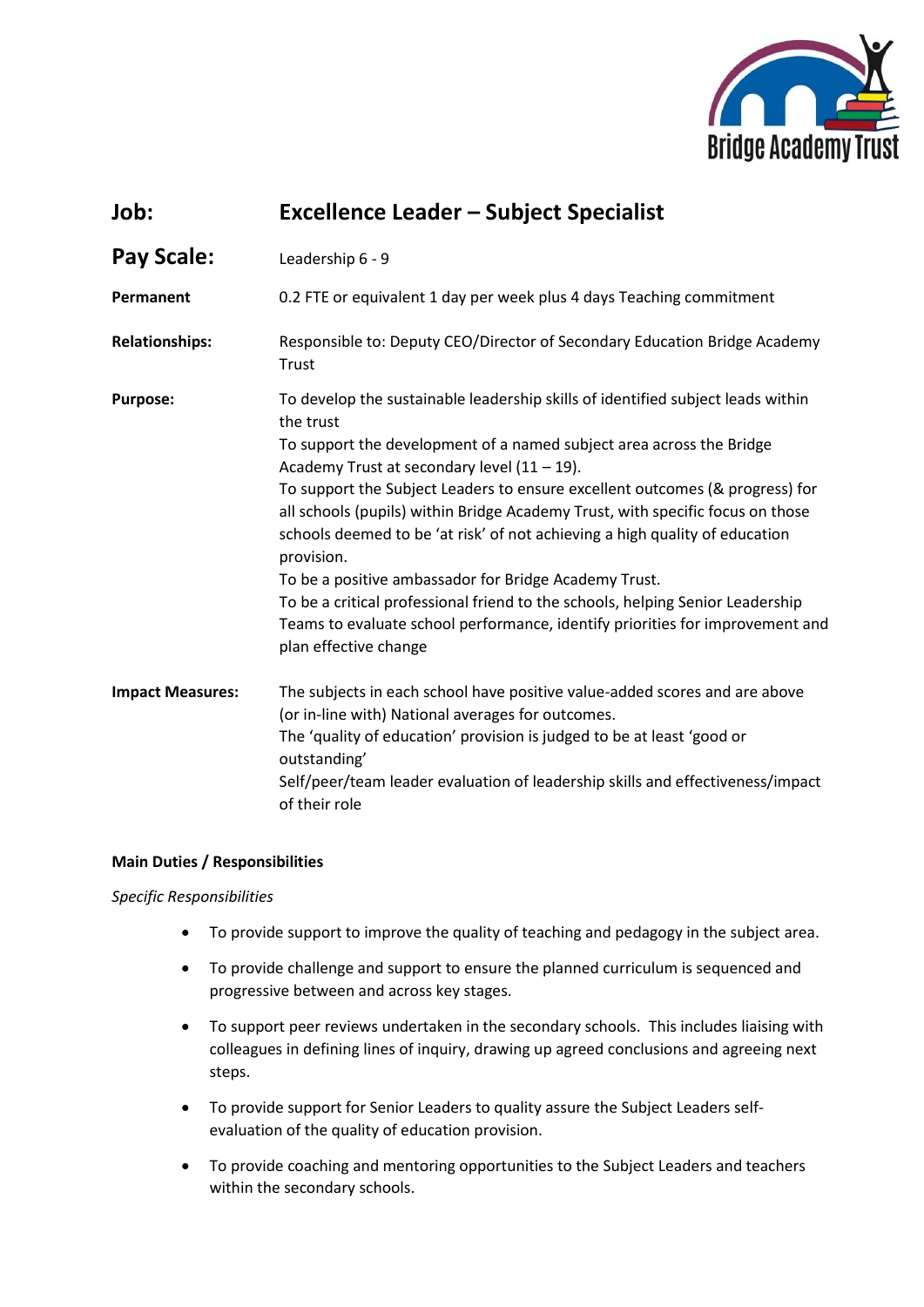

| Job:                    | <b>Excellence Leader - Subject Specialist</b>                                                                                                                                                                                                                                                                                                                                                                                                                                                                                                                                                                                                                                                                                              |
|-------------------------|--------------------------------------------------------------------------------------------------------------------------------------------------------------------------------------------------------------------------------------------------------------------------------------------------------------------------------------------------------------------------------------------------------------------------------------------------------------------------------------------------------------------------------------------------------------------------------------------------------------------------------------------------------------------------------------------------------------------------------------------|
| <b>Pay Scale:</b>       | Leadership 6 - 9                                                                                                                                                                                                                                                                                                                                                                                                                                                                                                                                                                                                                                                                                                                           |
| Permanent               | 0.2 FTE or equivalent 1 day per week plus 4 days Teaching commitment                                                                                                                                                                                                                                                                                                                                                                                                                                                                                                                                                                                                                                                                       |
| <b>Relationships:</b>   | Responsible to: Deputy CEO/Director of Secondary Education Bridge Academy<br>Trust                                                                                                                                                                                                                                                                                                                                                                                                                                                                                                                                                                                                                                                         |
| <b>Purpose:</b>         | To develop the sustainable leadership skills of identified subject leads within<br>the trust<br>To support the development of a named subject area across the Bridge<br>Academy Trust at secondary level $(11 – 19)$ .<br>To support the Subject Leaders to ensure excellent outcomes (& progress) for<br>all schools (pupils) within Bridge Academy Trust, with specific focus on those<br>schools deemed to be 'at risk' of not achieving a high quality of education<br>provision.<br>To be a positive ambassador for Bridge Academy Trust.<br>To be a critical professional friend to the schools, helping Senior Leadership<br>Teams to evaluate school performance, identify priorities for improvement and<br>plan effective change |
| <b>Impact Measures:</b> | The subjects in each school have positive value-added scores and are above<br>(or in-line with) National averages for outcomes.<br>The 'quality of education' provision is judged to be at least 'good or<br>outstanding'<br>Self/peer/team leader evaluation of leadership skills and effectiveness/impact<br>of their role                                                                                                                                                                                                                                                                                                                                                                                                               |

## **Main Duties / Responsibilities**

*Specific Responsibilities*

- To provide support to improve the quality of teaching and pedagogy in the subject area.
- To provide challenge and support to ensure the planned curriculum is sequenced and progressive between and across key stages.
- To support peer reviews undertaken in the secondary schools. This includes liaising with colleagues in defining lines of inquiry, drawing up agreed conclusions and agreeing next steps.
- To provide support for Senior Leaders to quality assure the Subject Leaders selfevaluation of the quality of education provision.
- To provide coaching and mentoring opportunities to the Subject Leaders and teachers within the secondary schools.